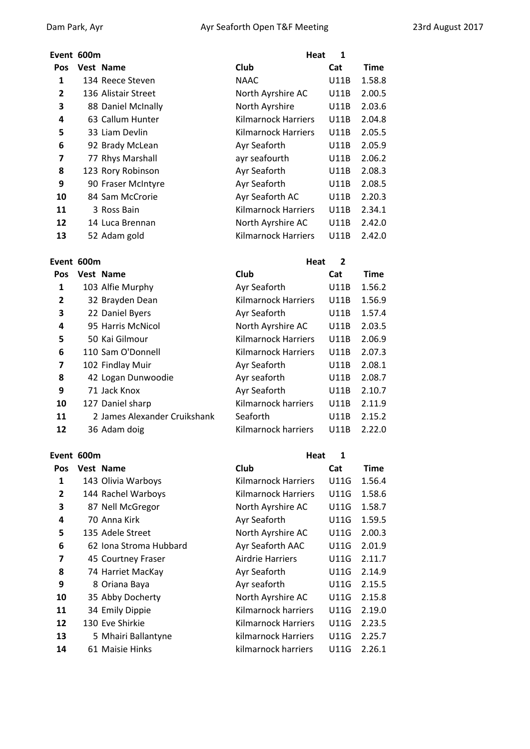### **Event 600m Heat 1**

| Pos            | Vest Name           | Club                       | Cat         | <b>Time</b> |
|----------------|---------------------|----------------------------|-------------|-------------|
| 1              | 134 Reece Steven    | <b>NAAC</b>                | U11B        | 1.58.8      |
| $\overline{2}$ | 136 Alistair Street | North Ayrshire AC          | U11B        | 2.00.5      |
| 3              | 88 Daniel McInally  | North Ayrshire             | <b>U11B</b> | 2.03.6      |
| 4              | 63 Callum Hunter    | Kilmarnock Harriers        | <b>U11B</b> | 2.04.8      |
| 5              | 33 Liam Devlin      | Kilmarnock Harriers        | <b>U11B</b> | 2.05.5      |
| 6              | 92 Brady McLean     | Ayr Seaforth               | U11B        | 2.05.9      |
| 7              | 77 Rhys Marshall    | ayr seafourth              | <b>U11B</b> | 2.06.2      |
| 8              | 123 Rory Robinson   | Ayr Seaforth               | U11B        | 2.08.3      |
| 9              | 90 Fraser McIntyre  | Ayr Seaforth               | U11B        | 2.08.5      |
| 10             | 84 Sam McCrorie     | Ayr Seaforth AC            | U11B        | 2.20.3      |
| 11             | 3 Ross Bain         | <b>Kilmarnock Harriers</b> | <b>U11B</b> | 2.34.1      |
| 12             | 14 Luca Brennan     | North Ayrshire AC          | <b>U11B</b> | 2.42.0      |
| 12             | $E2$ Adam cold      | Vilmarnack Harriarc        | 1111D       | ח רו ר      |

| Event 600m |  |  |
|------------|--|--|
|            |  |  |

| $\overline{2}$ | 136 Alistair Street | North Ayrshire AC          | U11B        | 2.00.5 |
|----------------|---------------------|----------------------------|-------------|--------|
| 3              | 88 Daniel McInally  | North Ayrshire             | U11B        | 2.03.6 |
| 4              | 63 Callum Hunter    | Kilmarnock Harriers        | U11B        | 2.04.8 |
| 5              | 33 Liam Devlin      | Kilmarnock Harriers        | U11B        | 2.05.5 |
| 6              | 92 Brady McLean     | Ayr Seaforth               | U11B        | 2.05.9 |
| 7              | 77 Rhys Marshall    | ayr seafourth              | U11B        | 2.06.2 |
| 8              | 123 Rory Robinson   | Ayr Seaforth               | U11B        | 2.08.3 |
| 9              | 90 Fraser McIntyre  | Ayr Seaforth               | U11B        | 2.08.5 |
| 10             | 84 Sam McCrorie     | Ayr Seaforth AC            | U11B        | 2.20.3 |
| 11             | 3 Ross Bain         | <b>Kilmarnock Harriers</b> | <b>U11B</b> | 2.34.1 |
| 12             | 14 Luca Brennan     | North Ayrshire AC          | U11B        | 2.42.0 |
| 13             | 52 Adam gold        | <b>Kilmarnock Harriers</b> | U11B        | 2.42.0 |
|                |                     |                            |             |        |

| Event 600m |                              | <b>Heat</b>                | $\overline{2}$ |             |
|------------|------------------------------|----------------------------|----------------|-------------|
| <b>Pos</b> | <b>Vest Name</b>             | Club                       | Cat            | <b>Time</b> |
| 1          | 103 Alfie Murphy             | Ayr Seaforth               | <b>U11B</b>    | 1.56.2      |
| 2          | 32 Brayden Dean              | <b>Kilmarnock Harriers</b> | U11B           | 1.56.9      |
| 3          | 22 Daniel Byers              | Ayr Seaforth               | U11B           | 1.57.4      |
| 4          | 95 Harris McNicol            | North Ayrshire AC          | U11B           | 2.03.5      |
| 5          | 50 Kai Gilmour               | <b>Kilmarnock Harriers</b> | <b>U11B</b>    | 2.06.9      |
| 6          | 110 Sam O'Donnell            | Kilmarnock Harriers        | U11B           | 2.07.3      |
| 7          | 102 Findlay Muir             | Ayr Seaforth               | U11B           | 2.08.1      |
| 8          | 42 Logan Dunwoodie           | Ayr seaforth               | U11B           | 2.08.7      |
| 9          | 71 Jack Knox                 | Ayr Seaforth               | <b>U11B</b>    | 2.10.7      |
| 10         | 127 Daniel sharp             | Kilmarnock harriers        | U11B           | 2.11.9      |
| 11         | 2 James Alexander Cruikshank | Seaforth                   | <b>U11B</b>    | 2.15.2      |
| 12         | 36 Adam doig                 | Kilmarnock harriers        | U11B           | 2.22.0      |
|            |                              |                            |                |             |

# **Event 600m Heat 1**

| Pos            | Vest Name              | Club                | Cat  | Time   |
|----------------|------------------------|---------------------|------|--------|
| 1              | 143 Olivia Warboys     | Kilmarnock Harriers | U11G | 1.56.4 |
| $\overline{2}$ | 144 Rachel Warboys     | Kilmarnock Harriers | U11G | 1.58.6 |
| 3              | 87 Nell McGregor       | North Ayrshire AC   | U11G | 1.58.7 |
| 4              | 70 Anna Kirk           | Ayr Seaforth        | U11G | 1.59.5 |
| 5              | 135 Adele Street       | North Ayrshire AC   | U11G | 2.00.3 |
| 6              | 62 Iona Stroma Hubbard | Ayr Seaforth AAC    | U11G | 2.01.9 |
| 7              | 45 Courtney Fraser     | Airdrie Harriers    | U11G | 2.11.7 |
| 8              | 74 Harriet MacKay      | Ayr Seaforth        | U11G | 2.14.9 |
| 9              | 8 Oriana Baya          | Ayr seaforth        | U11G | 2.15.5 |
| 10             | 35 Abby Docherty       | North Ayrshire AC   | U11G | 2.15.8 |
| 11             | 34 Emily Dippie        | Kilmarnock harriers | U11G | 2.19.0 |
| 12             | 130 Eve Shirkie        | Kilmarnock Harriers | U11G | 2.23.5 |
| 13             | 5 Mhairi Ballantyne    | kilmarnock Harriers | U11G | 2.25.7 |
| 14             | 61 Maisie Hinks        | kilmarnock harriers | U11G | 2.26.1 |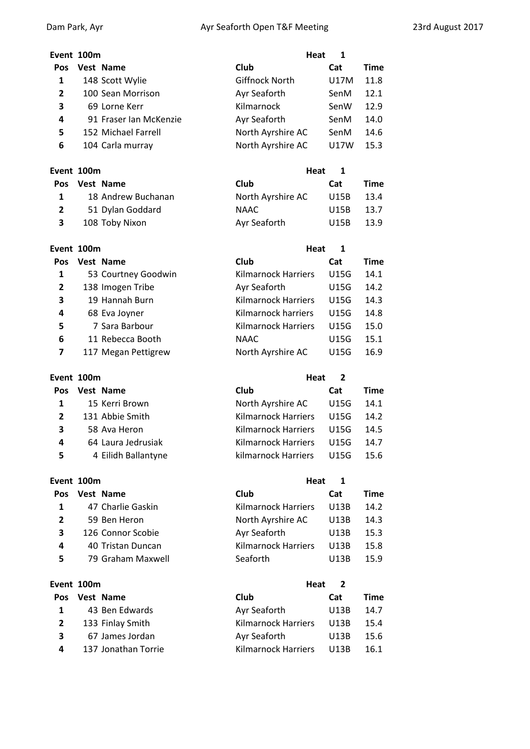| Event 100m |                        | Heat                  | 1    |             |
|------------|------------------------|-----------------------|------|-------------|
| <b>Pos</b> | Vest Name              | Club                  | Cat  | <b>Time</b> |
| 1          | 148 Scott Wylie        | <b>Giffnock North</b> | U17M | 11.8        |
| 2          | 100 Sean Morrison      | Ayr Seaforth          | SenM | 12.1        |
| 3          | 69 Lorne Kerr          | Kilmarnock            | SenW | 12.9        |
| 4          | 91 Fraser Ian McKenzie | Ayr Seaforth          | SenM | 14.0        |
| 5          | 152 Michael Farrell    | North Ayrshire AC     | SenM | 14.6        |
| 6          | 104 Carla murray       | North Ayrshire AC     | U17W | 15.3        |

| Event 100m   |                    | Heat 1            |      |             |
|--------------|--------------------|-------------------|------|-------------|
| <b>Pos</b>   | Vest Name          | Club              | Cat  | <b>Time</b> |
|              | 18 Andrew Buchanan | North Ayrshire AC | U15B | 13.4        |
| $\mathbf{2}$ | 51 Dylan Goddard   | NAAC              | U15B | 13.7        |
| 3            | 108 Toby Nixon     | Ayr Seaforth      | U15B | 13.9        |

| Event 100m   |                     | Heat                       | 1           |             |
|--------------|---------------------|----------------------------|-------------|-------------|
| <b>Pos</b>   | Vest Name           | Club                       | Cat         | <b>Time</b> |
| 1            | 53 Courtney Goodwin | <b>Kilmarnock Harriers</b> | <b>U15G</b> | 14.1        |
| $\mathbf{2}$ | 138 Imogen Tribe    | Ayr Seaforth               | U15G        | 14.2        |
| 3            | 19 Hannah Burn      | Kilmarnock Harriers        | U15G        | 14.3        |
| 4            | 68 Eva Joyner       | Kilmarnock harriers        | U15G        | 14.8        |
| 5            | 7 Sara Barbour      | <b>Kilmarnock Harriers</b> | U15G        | 15.0        |
| 6            | 11 Rebecca Booth    | <b>NAAC</b>                | U15G        | 15.1        |
| 7            | 117 Megan Pettigrew | North Ayrshire AC          | U15G        | 16.9        |

| Event 100m |                     | Heat<br>2                  |      |      |  |  |
|------------|---------------------|----------------------------|------|------|--|--|
| <b>Pos</b> | <b>Vest Name</b>    | Club                       | Cat  | Time |  |  |
| 1          | 15 Kerri Brown      | North Ayrshire AC          | U15G | 14.1 |  |  |
| 2          | 131 Abbie Smith     | <b>Kilmarnock Harriers</b> | U15G | 14.2 |  |  |
| 3          | 58 Ava Heron        | <b>Kilmarnock Harriers</b> | U15G | 14.5 |  |  |
| 4          | 64 Laura Jedrusiak  | Kilmarnock Harriers        | U15G | 14.7 |  |  |
| 5          | 4 Eilidh Ballantyne | kilmarnock Harriers        | U15G | 15.6 |  |  |
|            |                     |                            |      |      |  |  |

| Event 100m |                   | Heat                       | 1    |      |
|------------|-------------------|----------------------------|------|------|
| <b>Pos</b> | Vest Name         | Club                       | Cat  | Time |
| 1          | 47 Charlie Gaskin | <b>Kilmarnock Harriers</b> | U13B | 14.2 |
| 2          | 59 Ben Heron      | North Ayrshire AC          | U13B | 14.3 |
| 3          | 126 Connor Scobie | Ayr Seaforth               | U13B | 15.3 |
| 4          | 40 Tristan Duncan | <b>Kilmarnock Harriers</b> | U13B | 15.8 |
| 5          | 79 Graham Maxwell | Seaforth                   | U13B | 15.9 |
|            |                   |                            |      |      |

|            | Event 100m |                     |                     | Heat<br>-2 |      |  |
|------------|------------|---------------------|---------------------|------------|------|--|
| <b>Pos</b> |            | <b>Vest Name</b>    | Club                | Cat        | Time |  |
|            |            | 43 Ben Edwards      | Ayr Seaforth        | U13B       | 14.7 |  |
|            |            | 133 Finlay Smith    | Kilmarnock Harriers | U13B       | 15.4 |  |
| 3          |            | 67 James Jordan     | Ayr Seaforth        | U13B       | 15.6 |  |
| 4          |            | 137 Jonathan Torrie | Kilmarnock Harriers | U13B       | 16.1 |  |
|            |            |                     |                     |            |      |  |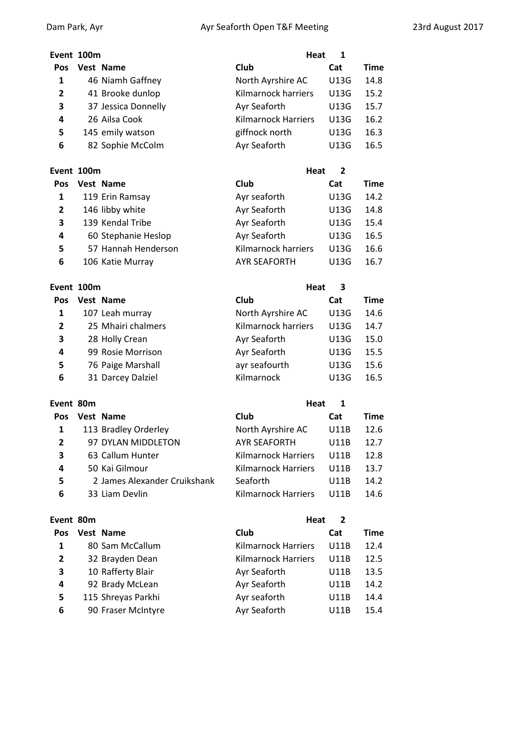# **Event 100m Heat 1 Pos Vest Name Club Cat Time** 1 46 Niamh Gaffney **North Ayrshire AC** U13G 14.8 41 Brooke dunlop Kilmarnock harriers U13G 15.2 37 Jessica Donnelly **Ayr Seaforth** U13G 15.7 26 Ailsa Cook Kilmarnock Harriers U13G 16.2 145 emily watson **giffnock north** U13G 16.3 82 Sophie McColm **Ayr Seaforth** U13G 16.5

| Event 100m     |                     | Heat                | 2           |             |
|----------------|---------------------|---------------------|-------------|-------------|
| <b>Pos</b>     | Vest Name           | Club                | Cat         | <b>Time</b> |
| 1              | 119 Erin Ramsay     | Ayr seaforth        | <b>U13G</b> | 14.2        |
| $\overline{2}$ | 146 libby white     | Ayr Seaforth        | U13G        | 14.8        |
| 3              | 139 Kendal Tribe    | Ayr Seaforth        | U13G        | 15.4        |
| 4              | 60 Stephanie Heslop | Ayr Seaforth        | U13G        | 16.5        |
| 5              | 57 Hannah Henderson | Kilmarnock harriers | U13G        | 16.6        |
| 6              | 106 Katie Murray    | <b>AYR SEAFORTH</b> | U13G        | 16.7        |

# **Event 100m Heat 3**

| <b>Pos</b>   | Vest Name          | Club                | Cat         | <b>Time</b> |
|--------------|--------------------|---------------------|-------------|-------------|
| 1            | 107 Leah murray    | North Ayrshire AC   | <b>U13G</b> | 14.6        |
| $\mathbf{2}$ | 25 Mhairi chalmers | Kilmarnock harriers | <b>U13G</b> | 14.7        |
| 3            | 28 Holly Crean     | Ayr Seaforth        | U13G        | 15.0        |
| 4            | 99 Rosie Morrison  | Ayr Seaforth        | U13G        | 15.5        |
| 5            | 76 Paige Marshall  | ayr seafourth       | U13G        | 15.6        |
| 6            | 31 Darcey Dalziel  | Kilmarnock          | U13G        | 16.5        |
|              |                    |                     |             |             |

# **Event 80m Heat 1**

| Pos            | Vest Name                    | Club                       | Cat  | Time |
|----------------|------------------------------|----------------------------|------|------|
| 1              | 113 Bradley Orderley         | North Ayrshire AC          | U11B | 12.6 |
| $\overline{2}$ | 97 DYLAN MIDDLETON           | <b>AYR SEAFORTH</b>        | U11B | 12.7 |
| 3              | 63 Callum Hunter             | Kilmarnock Harriers        | U11B | 12.8 |
| 4              | 50 Kai Gilmour               | <b>Kilmarnock Harriers</b> | U11B | 13.7 |
| 5              | 2 James Alexander Cruikshank | Seaforth                   | U11B | 14.2 |
| 6              | 33 Liam Devlin               | Kilmarnock Harriers        | U11B | 14.6 |

# **Event 80m Heat 2**

| Pos            | Vest Name          | Club                       | Cat  | Time |
|----------------|--------------------|----------------------------|------|------|
| 1              | 80 Sam McCallum    | <b>Kilmarnock Harriers</b> | U11B | 12.4 |
| $\overline{2}$ | 32 Brayden Dean    | <b>Kilmarnock Harriers</b> | U11B | 12.5 |
| 3              | 10 Rafferty Blair  | Ayr Seaforth               | U11B | 13.5 |
| 4              | 92 Brady McLean    | Ayr Seaforth               | U11B | 14.2 |
| 5              | 115 Shreyas Parkhi | Ayr seaforth               | U11B | 14.4 |
| 6              | 90 Fraser McIntyre | Ayr Seaforth               | U11B | 15.4 |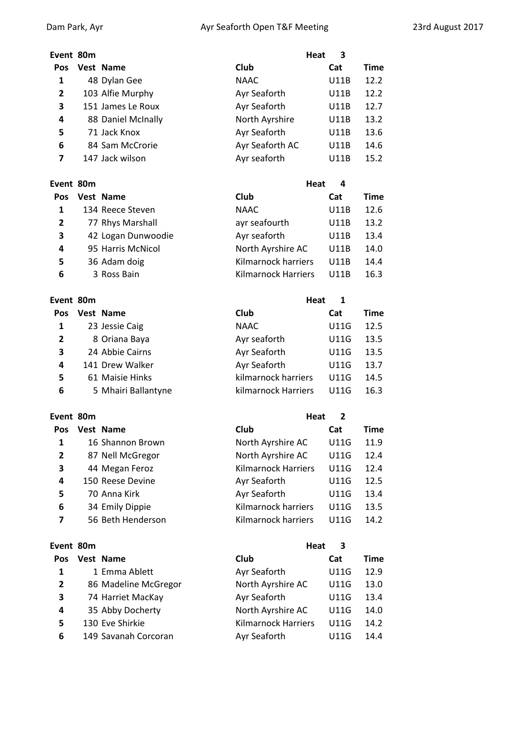**Event** 80m

**Event** 80m

**Event 80m** 

**Pos Vest Name** 

 16 Shannon Brown 87 Nell McGregor 44 Megan Feroz 150 Reese Devine 70 Anna Kirk 34 Emily Dippie 56 Beth Henderson

# **Event** 80m **Heat 3 Pos Vest Name Club Cat Time** 48 Dylan Gee NAAC U11B 12.2 103 Alfie Murphy **Ayr Seaforth** U11B 12.2 151 James Le Roux **Ayr Seaforth** U11B 12.7 88 Daniel McInally North Ayrshire U11B 13.2 71 Jack Knox **Ayr Seaforth** U11B 13.6 84 Sam McCrorie **Ayr Seaforth AC** U11B 14.6 147 Jack wilson **Ayr seaforth** U11B 15.2

| vent 80m:      |  |                    | Heat<br>4           |             |      |  |
|----------------|--|--------------------|---------------------|-------------|------|--|
| <b>Pos</b>     |  | Vest Name          | Club                | Cat         | Time |  |
| 1              |  | 134 Reece Steven   | <b>NAAC</b>         | <b>U11B</b> | 12.6 |  |
| $\overline{2}$ |  | 77 Rhys Marshall   | ayr seafourth       | U11B        | 13.2 |  |
| 3              |  | 42 Logan Dunwoodie | Ayr seaforth        | U11B        | 13.4 |  |
| 4              |  | 95 Harris McNicol  | North Ayrshire AC   | U11B        | 14.0 |  |
| 5              |  | 36 Adam doig       | Kilmarnock harriers | U11B        | 14.4 |  |
| 6              |  | 3 Ross Bain        | Kilmarnock Harriers | U11B        | 16.3 |  |

| <b>Time</b> |
|-------------|
| 12.5        |
| 13.5        |
| 13.5        |
| 13.7        |
| 14.5        |
| 16.3        |
|             |

|                            | Heat<br>$\overline{2}$ |      |
|----------------------------|------------------------|------|
| Club                       | Cat                    | Time |
| North Ayrshire AC          | U11G                   | 11.9 |
| North Ayrshire AC          | U11G                   | 12.4 |
| <b>Kilmarnock Harriers</b> | U11G                   | 12.4 |
| Ayr Seaforth               | U11G                   | 12.5 |
| Ayr Seaforth               | U11G                   | 13.4 |
| Kilmarnock harriers        | U11G                   | 13.5 |
| Kilmarnock harriers        | U11G                   | 14.2 |

| Event 80m  |                      | Heat<br>З                  |             |             |
|------------|----------------------|----------------------------|-------------|-------------|
| <b>Pos</b> | Vest Name            | Club                       | Cat         | <b>Time</b> |
| 1          | 1 Emma Ablett        | Ayr Seaforth               | <b>U11G</b> | 12.9        |
| 2          | 86 Madeline McGregor | North Ayrshire AC          | <b>U11G</b> | 13.0        |
| 3          | 74 Harriet MacKay    | Ayr Seaforth               | <b>U11G</b> | 13.4        |
| 4          | 35 Abby Docherty     | North Ayrshire AC          | U11G        | 14.0        |
| 5          | 130 Eve Shirkie      | <b>Kilmarnock Harriers</b> | U11G        | 14.2        |
| 6          | 149 Savanah Corcoran | Ayr Seaforth               | U11G        | 14.4        |
|            |                      |                            |             |             |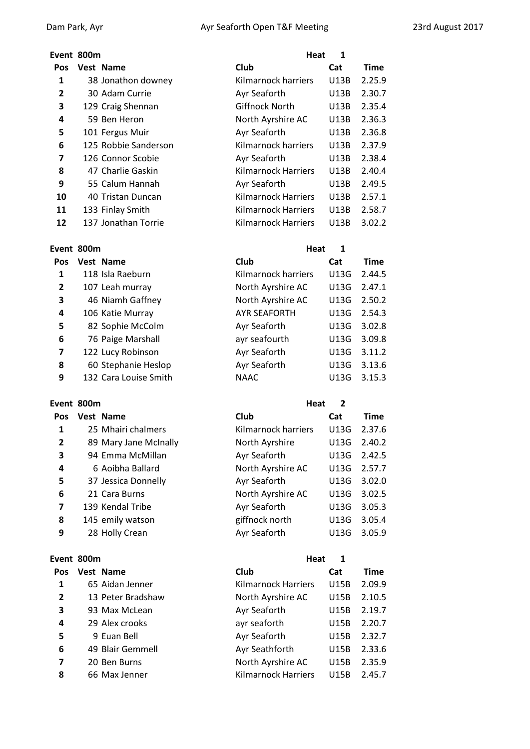### **Event 800m Heat 1**

| Pos | Vest Name            | Club                       | Cat         | <b>Time</b> |
|-----|----------------------|----------------------------|-------------|-------------|
| 1   | 38 Jonathon downey   | Kilmarnock harriers        | <b>U13B</b> | 2.25.9      |
| 2   | 30 Adam Currie       | Ayr Seaforth               | U13B        | 2.30.7      |
| 3   | 129 Craig Shennan    | <b>Giffnock North</b>      | <b>U13B</b> | 2.35.4      |
| 4   | 59 Ben Heron         | North Ayrshire AC          | U13B        | 2.36.3      |
| 5   | 101 Fergus Muir      | Ayr Seaforth               | U13B        | 2.36.8      |
| 6   | 125 Robbie Sanderson | Kilmarnock harriers        | <b>U13B</b> | 2.37.9      |
| 7   | 126 Connor Scobie    | Ayr Seaforth               | U13B        | 2.38.4      |
| 8   | 47 Charlie Gaskin    | <b>Kilmarnock Harriers</b> | <b>U13B</b> | 2.40.4      |
| 9   | 55 Calum Hannah      | Ayr Seaforth               | U13B        | 2.49.5      |
| 10  | 40 Tristan Duncan    | Kilmarnock Harriers        | U13B        | 2.57.1      |
| 11  | 133 Finlay Smith     | Kilmarnock Harriers        | U13B        | 2.58.7      |
| 12  | 137 Jonathan Torrie  | Kilmarnock Harriers        | U13B        | 3.02.2      |

### **Event** 800m

| Pos            | Vest Name             |
|----------------|-----------------------|
| 1              | 118 Isla Raeburn      |
| $\overline{2}$ | 107 Leah murray       |
| 3              | 46 Niamh Gaffney      |
| 4              | 106 Katie Murray      |
| 5              | 82 Sophie McColm      |
| 6              | 76 Paige Marshall     |
| 7              | 122 Lucy Robinson     |
| 8              | 60 Stephanie Heslop   |
| q              | 132 Cara Louise Smith |

# **Event 800m Heat 2**

| Pos            | <b>Vest Name</b>      | Club                | Cat  | Time   |
|----------------|-----------------------|---------------------|------|--------|
| 1              | 25 Mhairi chalmers    | Kilmarnock harriers | U13G | 2.37.6 |
| $\overline{2}$ | 89 Mary Jane McInally | North Ayrshire      | U13G | 2.40.2 |
| 3              | 94 Emma McMillan      | Ayr Seaforth        | U13G | 2.42.5 |
| 4              | 6 Aoibha Ballard      | North Ayrshire AC   | U13G | 2.57.7 |
| 5              | 37 Jessica Donnelly   | Ayr Seaforth        | U13G | 3.02.0 |
| 6              | 21 Cara Burns         | North Ayrshire AC   | U13G | 3.02.5 |
| 7              | 139 Kendal Tribe      | Ayr Seaforth        | U13G | 3.05.3 |
| 8              | 145 emily watson      | giffnock north      | U13G | 3.05.4 |
| 9              | 28 Holly Crean        | Ayr Seaforth        | U13G | 3.05.9 |
|                |                       |                     |      |        |

# **Event 800m Heat 1**

| Pos            | Vest Name         | Club                       | Cat         | Time   |
|----------------|-------------------|----------------------------|-------------|--------|
| 1              | 65 Aidan Jenner   | <b>Kilmarnock Harriers</b> | <b>U15B</b> | 2.09.9 |
| $\overline{2}$ | 13 Peter Bradshaw | North Ayrshire AC          | <b>U15B</b> | 2.10.5 |
| 3              | 93 Max McLean     | Ayr Seaforth               | U15B        | 2.19.7 |
| 4              | 29 Alex crooks    | ayr seaforth               | U15B        | 2.20.7 |
| 5              | 9 Euan Bell       | Ayr Seaforth               | U15B        | 2.32.7 |
| 6              | 49 Blair Gemmell  | Ayr Seathforth             | U15B        | 2.33.6 |
| 7              | 20 Ben Burns      | North Ayrshire AC          | <b>U15B</b> | 2.35.9 |
| 8              | 66 Max Jenner     | <b>Kilmarnock Harriers</b> | U15B        | 2.45.7 |

| Ayr Seaforth               | U13B        | 2.36.8 |
|----------------------------|-------------|--------|
|                            |             |        |
| Kilmarnock harriers        | <b>U13B</b> | 2.37.9 |
| Ayr Seaforth               | U13B        | 2.38.4 |
| <b>Kilmarnock Harriers</b> | <b>U13B</b> | 2.40.4 |
| Ayr Seaforth               | U13B        | 2.49.5 |
| <b>Kilmarnock Harriers</b> | <b>U13B</b> | 2.57.1 |
| <b>Kilmarnock Harriers</b> | U13B        | 2.58.7 |

|                | vent 800m |                       | Heat                | 1    |             |
|----------------|-----------|-----------------------|---------------------|------|-------------|
| Pos            |           | <b>Vest Name</b>      | Club                | Cat  | <b>Time</b> |
| 1              |           | 118 Isla Raeburn      | Kilmarnock harriers | U13G | 2.44.5      |
| $\overline{2}$ |           | 107 Leah murray       | North Ayrshire AC   | U13G | 2.47.1      |
| 3              |           | 46 Niamh Gaffney      | North Ayrshire AC   | U13G | 2.50.2      |
| 4              |           | 106 Katie Murray      | <b>AYR SEAFORTH</b> | U13G | 2.54.3      |
| 5              |           | 82 Sophie McColm      | Ayr Seaforth        | U13G | 3.02.8      |
| 6              |           | 76 Paige Marshall     | ayr seafourth       | U13G | 3.09.8      |
| 7              |           | 122 Lucy Robinson     | Ayr Seaforth        | U13G | 3.11.2      |
| 8              |           | 60 Stephanie Heslop   | Ayr Seaforth        | U13G | 3.13.6      |
| 9              |           | 132 Cara Louise Smith | <b>NAAC</b>         | U13G | 3.15.3      |

# Kilmarnock harriers U13G 2.37.6 North Ayrshire U13G 2.40.2 94 Emma McMillan Ayr Seaforth U13G 2.42.5 North Ayrshire AC U13G 2.57.7

| 5. | 37 Jessica Donnelly | Ayr Seaforth      | U13G 3.02.0 |
|----|---------------------|-------------------|-------------|
| 6  | 21 Cara Burns       | North Ayrshire AC | U13G 3.02.5 |
| 7  | 139 Kendal Tribe    | Ayr Seaforth      | U13G 3.05.3 |
| 8  | 145 emily watson    | giffnock north    | U13G 3.05.4 |
| 9  | 28 Holly Crean      | Ayr Seaforth      | U13G 3.05.9 |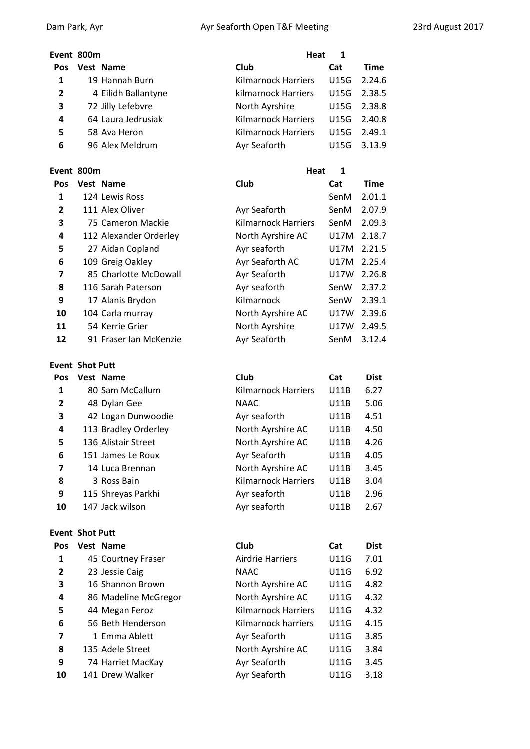# **Event 800m Heat 1 Pos Vest Name Club Cat Time** 1 19 Hannah Burn Kilmarnock Harriers U15G 2.24.6 4 Eilidh Ballantyne kilmarnock Harriers U15G 2.38.5 72 Jilly Lefebvre North Ayrshire U15G 2.38.8 64 Laura Jedrusiak Kilmarnock Harriers U15G 2.40.8 58 Ava Heron **19 Alternative Contract Kilmarnock Harriers** U15G 2.49.1 96 Alex Meldrum **Ayr Seaforth** U15G 3.13.9

# **Event 800m Heat 1**

| Pos | Vest Name              | Club                       | Cat  | <b>Time</b> |
|-----|------------------------|----------------------------|------|-------------|
| 1   | 124 Lewis Ross         |                            | SenM | 2.01.1      |
| 2   | 111 Alex Oliver        | Ayr Seaforth               | SenM | 2.07.9      |
| 3   | 75 Cameron Mackie      | <b>Kilmarnock Harriers</b> | SenM | 2.09.3      |
| 4   | 112 Alexander Orderley | North Ayrshire AC          | U17M | 2.18.7      |
| 5   | 27 Aidan Copland       | Ayr seaforth               | U17M | 2.21.5      |
| 6   | 109 Greig Oakley       | Ayr Seaforth AC            | U17M | 2.25.4      |
| 7   | 85 Charlotte McDowall  | Ayr Seaforth               | U17W | 2.26.8      |
| 8   | 116 Sarah Paterson     | Ayr seaforth               | SenW | 2.37.2      |
| 9   | 17 Alanis Brydon       | Kilmarnock                 | SenW | 2.39.1      |
| 10  | 104 Carla murray       | North Ayrshire AC          | U17W | 2.39.6      |
| 11  | 54 Kerrie Grier        | North Ayrshire             | U17W | 2.49.5      |
| 12  | 91 Fraser Ian McKenzie | Ayr Seaforth               | SenM | 3.12.4      |

### **Event Shot Putt**

| Pos            | Vest Name            | Club                | Cat         | <b>Dist</b> |
|----------------|----------------------|---------------------|-------------|-------------|
| 1              | 80 Sam McCallum      | Kilmarnock Harriers | <b>U11B</b> | 6.27        |
| $\overline{2}$ | 48 Dylan Gee         | <b>NAAC</b>         | <b>U11B</b> | 5.06        |
| 3              | 42 Logan Dunwoodie   | Ayr seaforth        | U11B        | 4.51        |
| 4              | 113 Bradley Orderley | North Ayrshire AC   | U11B        | 4.50        |
| 5              | 136 Alistair Street  | North Ayrshire AC   | <b>U11B</b> | 4.26        |
| 6              | 151 James Le Roux    | Ayr Seaforth        | U11B        | 4.05        |
| 7              | 14 Luca Brennan      | North Ayrshire AC   | U11B        | 3.45        |
| 8              | 3 Ross Bain          | Kilmarnock Harriers | U11B        | 3.04        |
| 9              | 115 Shreyas Parkhi   | Ayr seaforth        | U11B        | 2.96        |
| 10             | 147 Jack wilson      | Ayr seaforth        | U11B        | 2.67        |

# **Event Shot Putt**

| Pos            | Vest Name            | Club                    | Cat         | <b>Dist</b> |
|----------------|----------------------|-------------------------|-------------|-------------|
| 1              | 45 Courtney Fraser   | <b>Airdrie Harriers</b> | U11G        | 7.01        |
| $\overline{2}$ | 23 Jessie Caig       | <b>NAAC</b>             | <b>U11G</b> | 6.92        |
| 3              | 16 Shannon Brown     | North Ayrshire AC       | U11G        | 4.82        |
| 4              | 86 Madeline McGregor | North Ayrshire AC       | U11G        | 4.32        |
| 5              | 44 Megan Feroz       | Kilmarnock Harriers     | U11G        | 4.32        |
| 6              | 56 Beth Henderson    | Kilmarnock harriers     | <b>U11G</b> | 4.15        |
| 7              | 1 Emma Ablett        | Ayr Seaforth            | U11G        | 3.85        |
| 8              | 135 Adele Street     | North Ayrshire AC       | U11G        | 3.84        |
| 9              | 74 Harriet MacKay    | Ayr Seaforth            | U11G        | 3.45        |
| 10             | 141 Drew Walker      | Ayr Seaforth            | U11G        | 3.18        |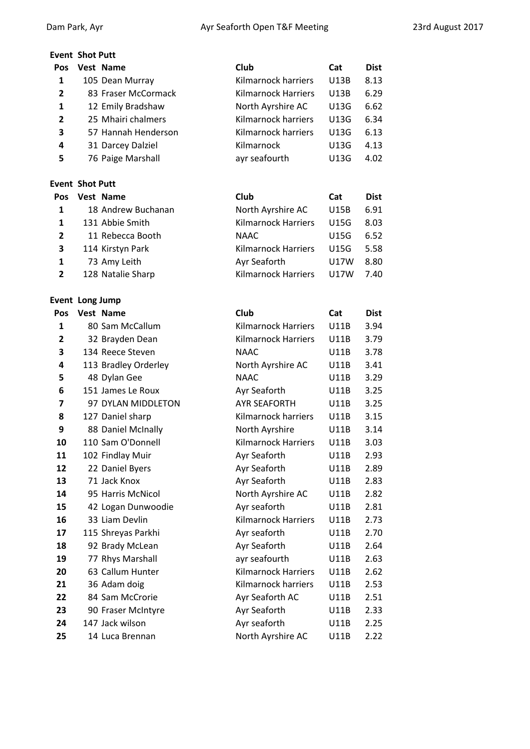# **Event Shot Putt Pos Vest Name Club Cat Dist** 1 105 Dean Murray Kilmarnock harriers U13B 8.13 83 Fraser McCormack Kilmarnock Harriers U13B 6.29 1 12 Emily Bradshaw North Ayrshire AC U13G 6.62 25 Mhairi chalmers Kilmarnock harriers U13G 6.34 57 Hannah Henderson Kilmarnock harriers U13G 6.13 31 Darcey Dalziel Kilmarnock U13G 4.13 76 Paige Marshall ayr seafourth U13G 4.02 **Event Shot Putt Pos Vest Name Club Cat Dist** 18 Andrew Buchanan North Ayrshire AC U15B 6.91 1 131 Abbie Smith Kilmarnock Harriers U15G 8.03 11 Rebecca Booth NAAC U15G 6.52 114 Kirstyn Park Kilmarnock Harriers U15G 5.58 73 Amy Leith Ayr Seaforth U17W 8.80 128 Natalie Sharp Kilmarnock Harriers U17W 7.40 **Event Long Jump Pos Vest Name Club Cat Dist** 1 80 Sam McCallum Kilmarnock Harriers U11B 3.94 32 Brayden Dean Kilmarnock Harriers U11B 3.79 134 Reece Steven NAAC U11B 3.78 113 Bradley Orderley North Ayrshire AC U11B 3.41 48 Dylan Gee **NAAC** U11B 3.29 151 James Le Roux **Ayr Seaforth** U11B 3.25 97 DYLAN MIDDLETON AYR SEAFORTH U11B 3.25 127 Daniel sharp Kilmarnock harriers U11B 3.15 88 Daniel McInally North Ayrshire U11B 3.14 110 Sam O'Donnell Kilmarnock Harriers U11B 3.03 102 Findlay Muir **Ayr Seaforth** U11B 2.93 22 Daniel Byers **Ayr Seaforth** U11B 2.89 13 71 Jack Knox Ayr Seaforth U11B 2.83 95 Harris McNicol North Ayrshire AC U11B 2.82 42 Logan Dunwoodie Ayr seaforth U11B 2.81 33 Liam Devlin Kilmarnock Harriers U11B 2.73 115 Shreyas Parkhi Ayr seaforth U11B 2.70 18 92 Brady McLean Ayr Seaforth U11B 2.64 77 Rhys Marshall ayr seafourth U11B 2.63 63 Callum Hunter Kilmarnock Harriers U11B 2.62 36 Adam doig Kilmarnock harriers U11B 2.53 84 Sam McCrorie **Ayr Seaforth AC** U11B 2.51 90 Fraser McIntyre **Ayr Seaforth** U11B 2.33 147 Jack wilson **Ayr seaforth** U11B 2.25 14 Luca Brennan North Ayrshire AC U11B 2.22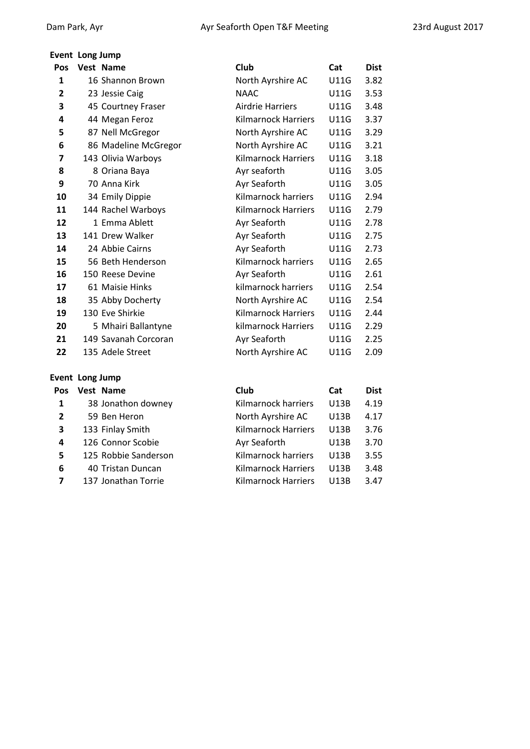### **Event Long Jump**

| Pos          | Vest Name            | Club                       | Cat         | <b>Dist</b> |
|--------------|----------------------|----------------------------|-------------|-------------|
| 1            | 16 Shannon Brown     | North Ayrshire AC          | U11G        | 3.82        |
| $\mathbf{2}$ | 23 Jessie Caig       | <b>NAAC</b>                | <b>U11G</b> | 3.53        |
| 3            | 45 Courtney Fraser   | <b>Airdrie Harriers</b>    | <b>U11G</b> | 3.48        |
| 4            | 44 Megan Feroz       | <b>Kilmarnock Harriers</b> | <b>U11G</b> | 3.37        |
| 5            | 87 Nell McGregor     | North Ayrshire AC          | <b>U11G</b> | 3.29        |
| 6            | 86 Madeline McGregor | North Ayrshire AC          | <b>U11G</b> | 3.21        |
| 7            | 143 Olivia Warboys   | <b>Kilmarnock Harriers</b> | <b>U11G</b> | 3.18        |
| 8            | 8 Oriana Baya        | Ayr seaforth               | <b>U11G</b> | 3.05        |
| 9            | 70 Anna Kirk         | Ayr Seaforth               | <b>U11G</b> | 3.05        |
| 10           | 34 Emily Dippie      | Kilmarnock harriers        | <b>U11G</b> | 2.94        |
| 11           | 144 Rachel Warboys   | Kilmarnock Harriers        | <b>U11G</b> | 2.79        |
| 12           | 1 Emma Ablett        | Ayr Seaforth               | <b>U11G</b> | 2.78        |
| 13           | 141 Drew Walker      | Ayr Seaforth               | <b>U11G</b> | 2.75        |
| 14           | 24 Abbie Cairns      | Ayr Seaforth               | <b>U11G</b> | 2.73        |
| 15           | 56 Beth Henderson    | Kilmarnock harriers        | <b>U11G</b> | 2.65        |
| 16           | 150 Reese Devine     | Ayr Seaforth               | <b>U11G</b> | 2.61        |
| 17           | 61 Maisie Hinks      | kilmarnock harriers        | <b>U11G</b> | 2.54        |
| 18           | 35 Abby Docherty     | North Ayrshire AC          | <b>U11G</b> | 2.54        |
| 19           | 130 Eve Shirkie      | <b>Kilmarnock Harriers</b> | <b>U11G</b> | 2.44        |
| 20           | 5 Mhairi Ballantyne  | kilmarnock Harriers        | <b>U11G</b> | 2.29        |
| 21           | 149 Savanah Corcoran | Ayr Seaforth               | <b>U11G</b> | 2.25        |
| 22           | 135 Adele Street     | North Ayrshire AC          | <b>U11G</b> | 2.09        |
|              |                      |                            |             |             |

# **Event Long Jump**

| Pos            | Vest Name            | Club                       | Cat         | <b>Dist</b> |
|----------------|----------------------|----------------------------|-------------|-------------|
| 1              | 38 Jonathon downey   | Kilmarnock harriers        | U13B        | 4.19        |
| $\overline{2}$ | 59 Ben Heron         | North Ayrshire AC          | U13B        | 4.17        |
| 3              | 133 Finlay Smith     | <b>Kilmarnock Harriers</b> | U13B        | 3.76        |
| 4              | 126 Connor Scobie    | Ayr Seaforth               | U13B        | 3.70        |
| 5              | 125 Robbie Sanderson | Kilmarnock harriers        | <b>U13B</b> | 3.55        |
| 6              | 40 Tristan Duncan    | Kilmarnock Harriers        | U13B        | 3.48        |
|                | 137 Jonathan Torrie  | Kilmarnock Harriers        | U13B        | 3.47        |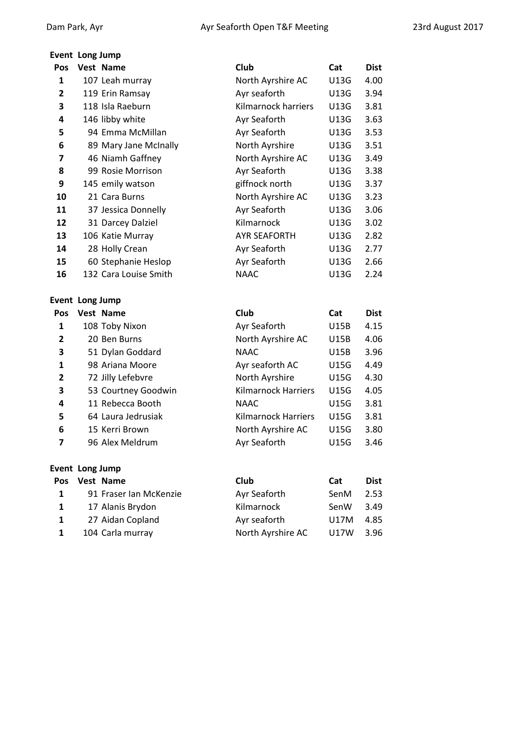# **Event Long Jump**

| Event Long Jump        |                        |                            |             |             |
|------------------------|------------------------|----------------------------|-------------|-------------|
| <b>Pos</b>             | Vest Name              | Club                       | Cat         | <b>Dist</b> |
| 1                      | 107 Leah murray        | North Ayrshire AC          | U13G        | 4.00        |
| 2                      | 119 Erin Ramsay        | Ayr seaforth               | U13G        | 3.94        |
| 3                      | 118 Isla Raeburn       | Kilmarnock harriers        | U13G        | 3.81        |
| 4                      | 146 libby white        | Ayr Seaforth               | U13G        | 3.63        |
| 5                      | 94 Emma McMillan       | Ayr Seaforth               | U13G        | 3.53        |
| 6                      | 89 Mary Jane McInally  | North Ayrshire             | U13G        | 3.51        |
| 7                      | 46 Niamh Gaffney       | North Ayrshire AC          | U13G        | 3.49        |
| 8                      | 99 Rosie Morrison      | Ayr Seaforth               | U13G        | 3.38        |
| 9                      | 145 emily watson       | giffnock north             | U13G        | 3.37        |
| 10                     | 21 Cara Burns          | North Ayrshire AC          | U13G        | 3.23        |
| 11                     | 37 Jessica Donnelly    | Ayr Seaforth               | U13G        | 3.06        |
| 12                     | 31 Darcey Dalziel      | Kilmarnock                 | U13G        | 3.02        |
| 13                     | 106 Katie Murray       | <b>AYR SEAFORTH</b>        | U13G        | 2.82        |
| 14                     | 28 Holly Crean         | Ayr Seaforth               | U13G        | 2.77        |
| 15                     | 60 Stephanie Heslop    | Ayr Seaforth               | U13G        | 2.66        |
| 16                     | 132 Cara Louise Smith  | <b>NAAC</b>                | U13G        | 2.24        |
|                        |                        |                            |             |             |
| <b>Event Long Jump</b> |                        |                            |             |             |
| Pos                    | Vest Name              | Club                       | Cat         | <b>Dist</b> |
| 1                      | 108 Toby Nixon         | Ayr Seaforth               | <b>U15B</b> | 4.15        |
| 2                      | 20 Ben Burns           | North Ayrshire AC          | U15B        | 4.06        |
| 3                      | 51 Dylan Goddard       | <b>NAAC</b>                | U15B        | 3.96        |
| 1                      | 98 Ariana Moore        | Ayr seaforth AC            | <b>U15G</b> | 4.49        |
| $\mathbf{2}$           | 72 Jilly Lefebvre      | North Ayrshire             | <b>U15G</b> | 4.30        |
| 3                      | 53 Courtney Goodwin    | <b>Kilmarnock Harriers</b> | U15G        | 4.05        |
| 4                      | 11 Rebecca Booth       | <b>NAAC</b>                | <b>U15G</b> | 3.81        |
| 5                      | 64 Laura Jedrusiak     | Kilmarnock Harriers        | <b>U15G</b> | 3.81        |
| 6                      | 15 Kerri Brown         | North Ayrshire AC          | <b>U15G</b> | 3.80        |
| 7                      | 96 Alex Meldrum        | Ayr Seaforth               | <b>U15G</b> | 3.46        |
|                        |                        |                            |             |             |
| <b>Event Long Jump</b> |                        |                            |             |             |
| <b>Pos</b>             | Vest Name              | Club                       | Cat         | <b>Dist</b> |
| 1                      | 91 Fraser Ian McKenzie | Ayr Seaforth               | SenM        | 2.53        |
| 1                      | 17 Alanis Brydon       | Kilmarnock                 | SenW        | 3.49        |
| 1                      | 27 Aidan Copland       | Ayr seaforth               | U17M        | 4.85        |
| 1                      | 104 Carla murray       | North Ayrshire AC          | U17W        | 3.96        |
|                        |                        |                            |             |             |